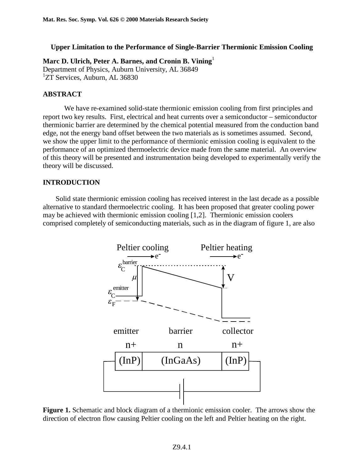## **Upper Limitation to the Performance of Single-Barrier Thermionic Emission Cooling**

**Marc D. Ulrich, Peter A. Barnes, and Cronin B. Vining** 

Department of Physics, Auburn University, AL 36849 <sup>1</sup>ZT Services, Auburn, AL 36830

# **ABSTRACT**

 We have re-examined solid-state thermionic emission cooling from first principles and report two key results. First, electrical and heat currents over a semiconductor – semiconductor thermionic barrier are determined by the chemical potential measured from the conduction band edge, not the energy band offset between the two materials as is sometimes assumed. Second, we show the upper limit to the performance of thermionic emission cooling is equivalent to the performance of an optimized thermoelectric device made from the same material. An overview of this theory will be presented and instrumentation being developed to experimentally verify the theory will be discussed.

## **INTRODUCTION**

 Solid state thermionic emission cooling has received interest in the last decade as a possible alternative to standard thermoelectric cooling. It has been proposed that greater cooling power may be achieved with thermionic emission cooling [1,2]. Thermionic emission coolers comprised completely of semiconducting materials, such as in the diagram of figure 1, are also



**Figure 1.** Schematic and block diagram of a thermionic emission cooler. The arrows show the direction of electron flow causing Peltier cooling on the left and Peltier heating on the right.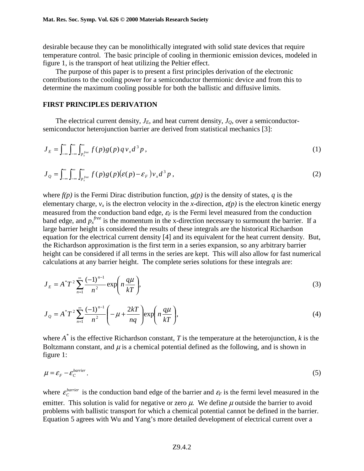desirable because they can be monolithically integrated with solid state devices that require temperature control. The basic principle of cooling in thermionic emission devices, modeled in figure 1, is the transport of heat utilizing the Peltier effect.

 The purpose of this paper is to present a first principles derivation of the electronic contributions to the cooling power for a semiconductor thermionic device and from this to determine the maximum cooling possible for both the ballistic and diffusive limits.

### **FIRST PRINCIPLES DERIVATION**

The electrical current density,  $J_E$ , and heat current density,  $J_Q$ , over a semiconductorsemiconductor heterojunction barrier are derived from statistical mechanics [3]:

$$
J_E = \int_{-\infty}^{\infty} \int_{-\infty}^{\infty} \int_{p_x^{free}}^{\infty} f(p)g(p) q v_x d^3 p,
$$
 (1)

$$
J_{Q} = \int_{-\infty}^{\infty} \int_{-\infty}^{\infty} \int_{p_{x}^{free}}^{\infty} f(p)g(p)(\varepsilon(p) - \varepsilon_{F})v_{x} d^{3}p,
$$
\n(2)

where *f(p)* is the Fermi Dirac distribution function, *g(p)* is the density of states, *q* is the elementary charge,  $v_x$  is the electron velocity in the *x*-direction,  $\varepsilon(p)$  is the electron kinetic energy measured from the conduction band edge,  $\varepsilon_F$  is the Fermi level measured from the conduction band edge, and  $p_x^{free}$  is the momentum in the x-direction necessary to surmount the barrier. If a large barrier height is considered the results of these integrals are the historical Richardson equation for the electrical current density [4] and its equivalent for the heat current density. But, the Richardson approximation is the first term in a series expansion, so any arbitrary barrier height can be considered if all terms in the series are kept. This will also allow for fast numerical calculations at any barrier height. The complete series solutions for these integrals are:

$$
J_E = A^* T^2 \sum_{n=1}^{\infty} \frac{(-1)^{n-1}}{n^2} \exp\left(n \frac{q\mu}{kT}\right),\tag{3}
$$

$$
J_{Q} = A^* T^2 \sum_{n=1}^{\infty} \frac{(-1)^{n-1}}{n^2} \left( -\mu + \frac{2kT}{nq} \right) \exp\left(n \frac{q\mu}{kT}\right),\tag{4}
$$

where *A\** is the effective Richardson constant, *T* is the temperature at the heterojunction, *k* is the Boltzmann constant, and  $\mu$  is a chemical potential defined as the following, and is shown in figure 1:

$$
\mu = \varepsilon_F - \varepsilon_C^{barrier},\tag{5}
$$

where  $\varepsilon_c^{barrier}$  is the conduction band edge of the barrier and  $\varepsilon_F$  is the fermi level measured in the emitter. This solution is valid for negative or zero  $\mu$ . We define  $\mu$  outside the barrier to avoid problems with ballistic transport for which a chemical potential cannot be defined in the barrier. Equation 5 agrees with Wu and Yang's more detailed development of electrical current over a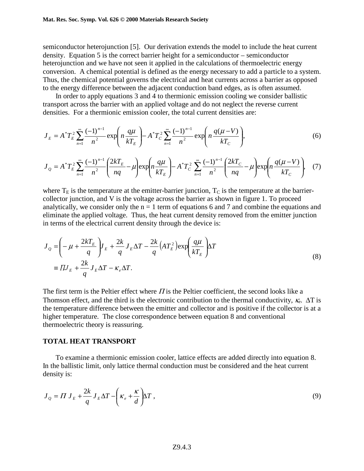semiconductor heterojunction [5]. Our derivation extends the model to include the heat current density. Equation 5 is the correct barrier height for a semiconductor – semiconductor heterojunction and we have not seen it applied in the calculations of thermoelectric energy conversion. A chemical potential is defined as the energy necessary to add a particle to a system. Thus, the chemical potential governs the electrical and heat currents across a barrier as opposed to the energy difference between the adjacent conduction band edges, as is often assumed.

 In order to apply equations 3 and 4 to thermionic emission cooling we consider ballistic transport across the barrier with an applied voltage and do not neglect the reverse current densities. For a thermionic emission cooler, the total current densities are:

$$
J_E = A^* T_E^2 \sum_{n=1}^{\infty} \frac{(-1)^{n-1}}{n^2} \exp\left(n \frac{q\mu}{kT_E}\right) - A^* T_C^2 \sum_{n=1}^{\infty} \frac{(-1)^{n-1}}{n^2} \exp\left(n \frac{q(\mu - V)}{kT_C}\right),\tag{6}
$$

$$
J_{Q} = A^{*}T_{E}^{2} \sum_{n=1}^{\infty} \frac{(-1)^{n-1}}{n^{2}} \left( \frac{2kT_{E}}{nq} - \mu \right) \exp\left(n \frac{q\mu}{kT_{E}}\right) - A^{*}T_{C}^{2} \sum_{n=1}^{\infty} \frac{(-1)^{n-1}}{n^{2}} \left( \frac{2kT_{C}}{nq} - \mu \right) \exp\left(n \frac{q(\mu - V)}{kT_{C}}\right), \quad (7)
$$

where  $T_E$  is the temperature at the emitter-barrier junction,  $T_C$  is the temperature at the barriercollector junction, and V is the voltage across the barrier as shown in figure 1. To proceed analytically, we consider only the  $n = 1$  term of equations 6 and 7 and combine the equations and eliminate the applied voltage. Thus, the heat current density removed from the emitter junction in terms of the electrical current density through the device is:

$$
J_{Q} = \left(-\mu + \frac{2kT_{E}}{q}\right)J_{E} + \frac{2k}{q}J_{E}\Delta T - \frac{2k}{q}\left(AT_{E}^{2}\right)\exp\left(\frac{q\mu}{kT_{E}}\right)\Delta T
$$
  

$$
\equiv \Pi J_{E} + \frac{2k}{q}J_{E}\Delta T - \kappa_{e}\Delta T.
$$
 (8)

The first term is the Peltier effect where  $\Pi$  is the Peltier coefficient, the second looks like a Thomson effect, and the third is the electronic contribution to the thermal conductivity,  $\kappa_e$ .  $\Delta T$  is the temperature difference between the emitter and collector and is positive if the collector is at a higher temperature. The close correspondence between equation 8 and conventional thermoelectric theory is reassuring.

#### **TOTAL HEAT TRANSPORT**

 To examine a thermionic emission cooler, lattice effects are added directly into equation 8. In the ballistic limit, only lattice thermal conduction must be considered and the heat current density is:

$$
J_{Q} = \Pi J_{E} + \frac{2k}{q} J_{E} \Delta T - \left(\kappa_{e} + \frac{\kappa}{d}\right) \Delta T, \qquad (9)
$$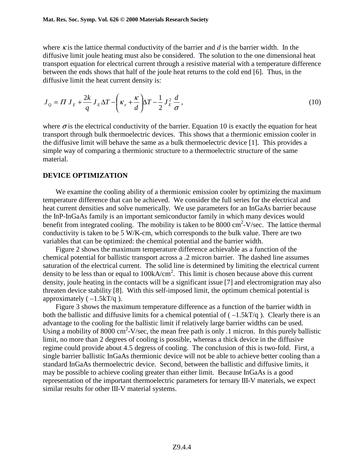where  $\kappa$  is the lattice thermal conductivity of the barrier and  $d$  is the barrier width. In the diffusive limit joule heating must also be considered. The solution to the one dimensional heat transport equation for electrical current through a resistive material with a temperature difference between the ends shows that half of the joule heat returns to the cold end [6]. Thus, in the diffusive limit the heat current density is:

$$
J_{Q} = \Pi J_{E} + \frac{2k}{q} J_{E} \Delta T - \left(\kappa_{e} + \frac{\kappa}{d}\right) \Delta T - \frac{1}{2} J_{E}^{2} \frac{d}{\sigma},\tag{10}
$$

where  $\sigma$  is the electrical conductivity of the barrier. Equation 10 is exactly the equation for heat transport through bulk thermoelectric devices. This shows that a thermionic emission cooler in the diffusive limit will behave the same as a bulk thermoelectric device [1]. This provides a simple way of comparing a thermionic structure to a thermoelectric structure of the same material.

### **DEVICE OPTIMIZATION**

We examine the cooling ability of a thermionic emission cooler by optimizing the maximum temperature difference that can be achieved. We consider the full series for the electrical and heat current densities and solve numerically. We use parameters for an InGaAs barrier because the InP-InGaAs family is an important semiconductor family in which many devices would benefit from integrated cooling. The mobility is taken to be  $8000 \text{ cm}^2$ -V/sec. The lattice thermal conductivity is taken to be 5 W/K-cm, which corresponds to the bulk value. There are two variables that can be optimized: the chemical potential and the barrier width.

 Figure 2 shows the maximum temperature difference achievable as a function of the chemical potential for ballistic transport across a .2 micron barrier. The dashed line assumes saturation of the electrical current. The solid line is determined by limiting the electrical current density to be less than or equal to  $100kA/cm<sup>2</sup>$ . This limit is chosen because above this current density, joule heating in the contacts will be a significant issue [7] and electromigration may also threaten device stability [8]. With this self-imposed limit, the optimum chemical potential is approximately  $(-1.5kT/q)$ .

 Figure 3 shows the maximum temperature difference as a function of the barrier width in both the ballistic and diffusive limits for a chemical potential of  $(-1.5kT/q)$ . Clearly there is an advantage to the cooling for the ballistic limit if relatively large barrier widths can be used. Using a mobility of 8000 cm<sup>2</sup>-V/sec, the mean free path is only .1 micron. In this purely ballistic limit, no more than 2 degrees of cooling is possible, whereas a thick device in the diffusive regime could provide about 4.5 degress of cooling. The conclusion of this is two-fold. First, a single barrier ballistic InGaAs thermionic device will not be able to achieve better cooling than a standard InGaAs thermoelectric device. Second, between the ballistic and diffusive limits, it may be possible to achieve cooling greater than either limit. Because InGaAs is a good representation of the important thermoelectric parameters for ternary III-V materials, we expect similar results for other III-V material systems.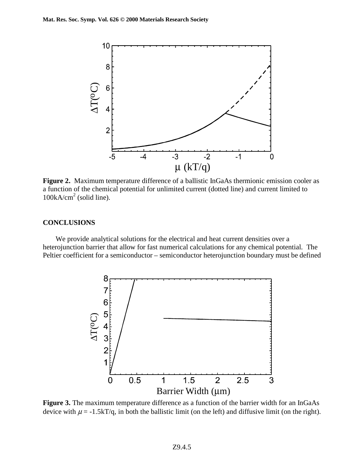

**Figure 2.** Maximum temperature difference of a ballistic InGaAs thermionic emission cooler as a function of the chemical potential for unlimited current (dotted line) and current limited to 100kA/cm<sup>2</sup> (solid line).

### **CONCLUSIONS**

 We provide analytical solutions for the electrical and heat current densities over a heterojunction barrier that allow for fast numerical calculations for any chemical potential. The Peltier coefficient for a semiconductor – semiconductor heterojunction boundary must be defined



**Figure 3.** The maximum temperature difference as a function of the barrier width for an InGaAs device with  $\mu = -1.5kT/q$ , in both the ballistic limit (on the left) and diffusive limit (on the right).